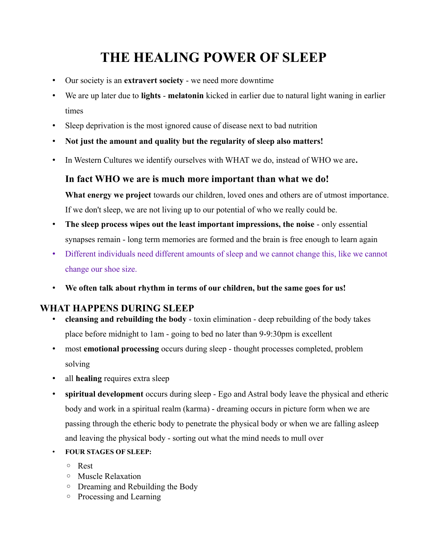# **THE HEALING POWER OF SLEEP**

- Our society is an **extravert society** we need more downtime
- We are up later due to **lights melatonin** kicked in earlier due to natural light waning in earlier times
- Sleep deprivation is the most ignored cause of disease next to bad nutrition
- **Not just the amount and quality but the regularity of sleep also matters!**
- In Western Cultures we identify ourselves with WHAT we do, instead of WHO we are**.**

## **In fact WHO we are is much more important than what we do!**

What energy we project towards our children, loved ones and others are of utmost importance. If we don't sleep, we are not living up to our potential of who we really could be.

- **The sleep process wipes out the least important impressions, the noise** only essential synapses remain - long term memories are formed and the brain is free enough to learn again
- Different individuals need different amounts of sleep and we cannot change this, like we cannot change our shoe size.
- **We often talk about rhythm in terms of our children, but the same goes for us!**

## **WHAT HAPPENS DURING SLEEP**

- **cleansing and rebuilding the body**  toxin elimination deep rebuilding of the body takes place before midnight to 1am - going to bed no later than 9-9:30pm is excellent
- most **emotional processing** occurs during sleep thought processes completed, problem solving
- all **healing** requires extra sleep
- **spiritual development** occurs during sleep Ego and Astral body leave the physical and etheric body and work in a spiritual realm (karma) - dreaming occurs in picture form when we are passing through the etheric body to penetrate the physical body or when we are falling asleep and leaving the physical body - sorting out what the mind needs to mull over
- **FOUR STAGES OF SLEEP:**
	- Rest
	- Muscle Relaxation
	- Dreaming and Rebuilding the Body
	- Processing and Learning